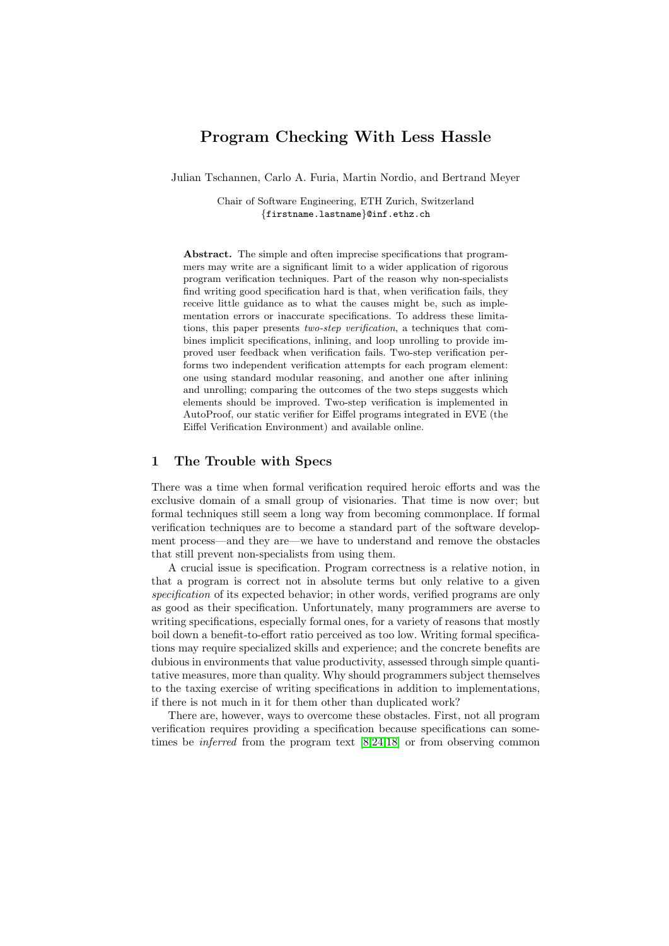# Program Checking With Less Hassle

Julian Tschannen, Carlo A. Furia, Martin Nordio, and Bertrand Meyer

Chair of Software Engineering, ETH Zurich, Switzerland {firstname.lastname}@inf.ethz.ch

Abstract. The simple and often imprecise specifications that programmers may write are a significant limit to a wider application of rigorous program verification techniques. Part of the reason why non-specialists find writing good specification hard is that, when verification fails, they receive little guidance as to what the causes might be, such as implementation errors or inaccurate specifications. To address these limitations, this paper presents two-step verification, a techniques that combines implicit specifications, inlining, and loop unrolling to provide improved user feedback when verification fails. Two-step verification performs two independent verification attempts for each program element: one using standard modular reasoning, and another one after inlining and unrolling; comparing the outcomes of the two steps suggests which elements should be improved. Two-step verification is implemented in AutoProof, our static verifier for Eiffel programs integrated in EVE (the Eiffel Verification Environment) and available online.

## 1 The Trouble with Specs

There was a time when formal verification required heroic efforts and was the exclusive domain of a small group of visionaries. That time is now over; but formal techniques still seem a long way from becoming commonplace. If formal verification techniques are to become a standard part of the software development process—and they are—we have to understand and remove the obstacles that still prevent non-specialists from using them.

A crucial issue is specification. Program correctness is a relative notion, in that a program is correct not in absolute terms but only relative to a given specification of its expected behavior; in other words, verified programs are only as good as their specification. Unfortunately, many programmers are averse to writing specifications, especially formal ones, for a variety of reasons that mostly boil down a benefit-to-effort ratio perceived as too low. Writing formal specifications may require specialized skills and experience; and the concrete benefits are dubious in environments that value productivity, assessed through simple quantitative measures, more than quality. Why should programmers subject themselves to the taxing exercise of writing specifications in addition to implementations, if there is not much in it for them other than duplicated work?

There are, however, ways to overcome these obstacles. First, not all program verification requires providing a specification because specifications can sometimes be *inferred* from the program text [\[8](#page-18-0)[,24,](#page-19-0)[18\]](#page-19-1) or from observing common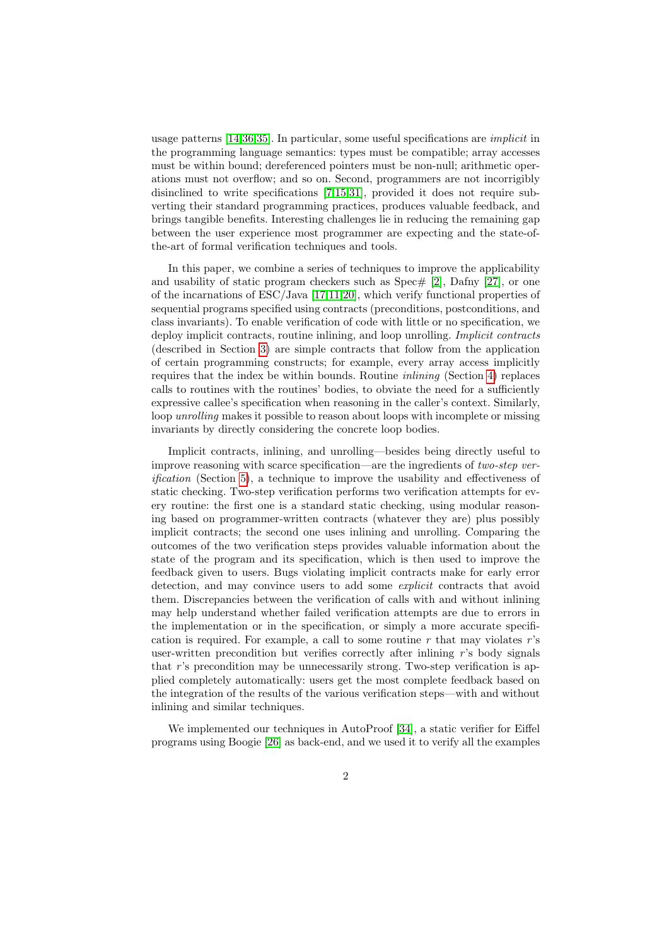usage patterns [\[14,](#page-19-2)[36](#page-19-3)[,35\]](#page-19-4). In particular, some useful specifications are implicit in the programming language semantics: types must be compatible; array accesses must be within bound; dereferenced pointers must be non-null; arithmetic operations must not overflow; and so on. Second, programmers are not incorrigibly disinclined to write specifications [\[7](#page-18-1)[,15,](#page-19-5)[31\]](#page-19-6), provided it does not require subverting their standard programming practices, produces valuable feedback, and brings tangible benefits. Interesting challenges lie in reducing the remaining gap between the user experience most programmer are expecting and the state-ofthe-art of formal verification techniques and tools.

In this paper, we combine a series of techniques to improve the applicability and usability of static program checkers such as  $Spec \# [2]$  $Spec \# [2]$ , Dafny [\[27\]](#page-19-7), or one of the incarnations of  $\text{ESC/Java}$  [\[17,](#page-19-8)[11,](#page-19-9)[20\]](#page-19-10), which verify functional properties of sequential programs specified using contracts (preconditions, postconditions, and class invariants). To enable verification of code with little or no specification, we deploy implicit contracts, routine inlining, and loop unrolling. Implicit contracts (described in Section [3\)](#page-4-0) are simple contracts that follow from the application of certain programming constructs; for example, every array access implicitly requires that the index be within bounds. Routine inlining (Section [4\)](#page-6-0) replaces calls to routines with the routines' bodies, to obviate the need for a sufficiently expressive callee's specification when reasoning in the caller's context. Similarly, loop *unrolling* makes it possible to reason about loops with incomplete or missing invariants by directly considering the concrete loop bodies.

Implicit contracts, inlining, and unrolling—besides being directly useful to improve reasoning with scarce specification—are the ingredients of two-step verification (Section [5\)](#page-8-0), a technique to improve the usability and effectiveness of static checking. Two-step verification performs two verification attempts for every routine: the first one is a standard static checking, using modular reasoning based on programmer-written contracts (whatever they are) plus possibly implicit contracts; the second one uses inlining and unrolling. Comparing the outcomes of the two verification steps provides valuable information about the state of the program and its specification, which is then used to improve the feedback given to users. Bugs violating implicit contracts make for early error detection, and may convince users to add some *explicit* contracts that avoid them. Discrepancies between the verification of calls with and without inlining may help understand whether failed verification attempts are due to errors in the implementation or in the specification, or simply a more accurate specification is required. For example, a call to some routine  $r$  that may violates  $r$ 's user-written precondition but verifies correctly after inlining  $r$ 's body signals that r's precondition may be unnecessarily strong. Two-step verification is applied completely automatically: users get the most complete feedback based on the integration of the results of the various verification steps—with and without inlining and similar techniques.

We implemented our techniques in AutoProof [\[34\]](#page-19-11), a static verifier for Eiffel programs using Boogie [\[26\]](#page-19-12) as back-end, and we used it to verify all the examples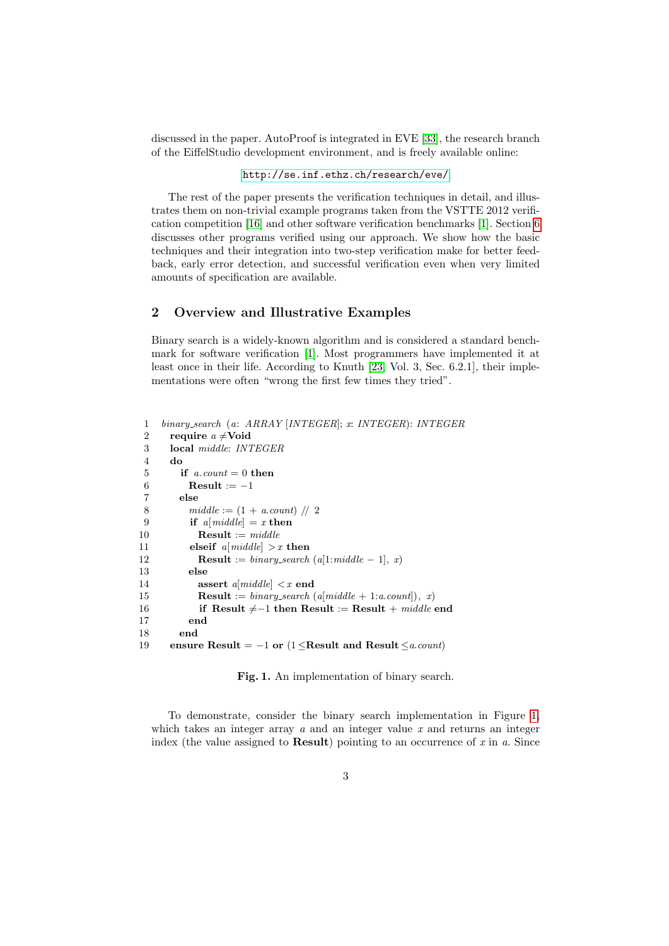discussed in the paper. AutoProof is integrated in EVE [\[33\]](#page-19-13), the research branch of the EiffelStudio development environment, and is freely available online:

### <http://se.inf.ethz.ch/research/eve/>

The rest of the paper presents the verification techniques in detail, and illustrates them on non-trivial example programs taken from the VSTTE 2012 verification competition [\[16\]](#page-19-14) and other software verification benchmarks [\[1\]](#page-18-3). Section [6](#page-14-0) discusses other programs verified using our approach. We show how the basic techniques and their integration into two-step verification make for better feedback, early error detection, and successful verification even when very limited amounts of specification are available.

## <span id="page-2-2"></span>2 Overview and Illustrative Examples

Binary search is a widely-known algorithm and is considered a standard benchmark for software verification [\[1\]](#page-18-3). Most programmers have implemented it at least once in their life. According to Knuth [\[23,](#page-19-15) Vol. 3, Sec. 6.2.1], their implementations were often "wrong the first few times they tried".

```
1 binary search (a: ARRAY [INTEGER]; x: INTEGER): INTEGER
2 require a \neqVoid
3 local middle: INTEGER
4 do
5 if a. count = 0 then
6 Result := -17 else
8 middle := (1 + a.count) // 2
9 if a[middle] = x then
10 Result := middle11 elseif a[middle] > x then
12 Result := binary_search (a[1:middle-1], x)13 else
14 assert a[middle] < x end
15 Result := binary_search (a[middle + 1:a.count]), x)16 if Result \neq−1 then Result := Result + middle end
17 end
18 end
19 ensure Result = -1 or (1 ≤Result and Result \leq a.count)
```
<span id="page-2-0"></span>Fig. 1. An implementation of binary search.

To demonstrate, consider the binary search implementation in Figure [1,](#page-2-0) which takes an integer array  $a$  and an integer value  $x$  and returns an integer index (the value assigned to **Result**) pointing to an occurrence of  $x$  in  $a$ . Since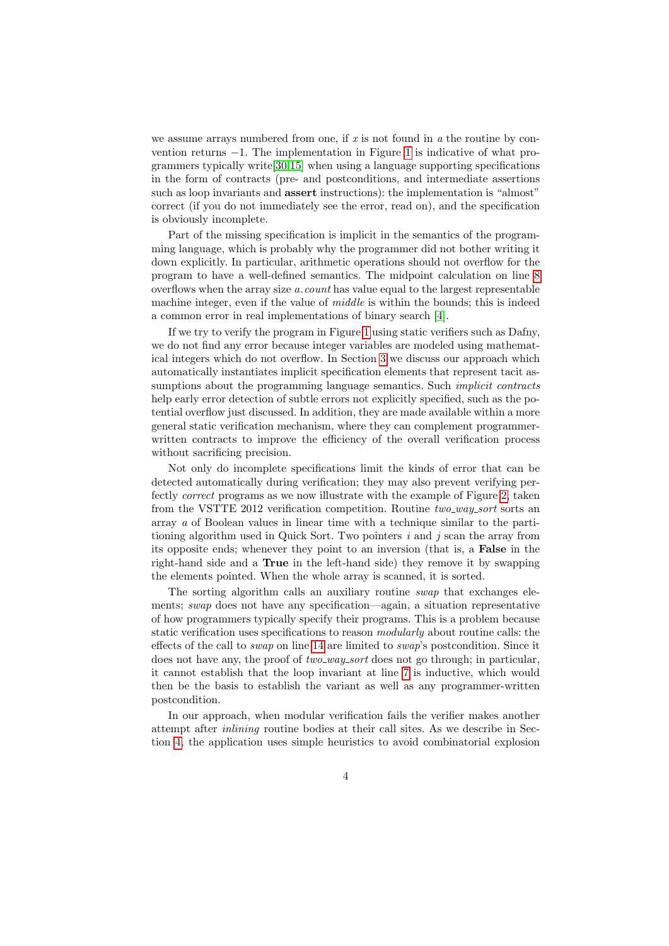we assume arrays numbered from one, if  $x$  is not found in  $a$  the routine by convention returns −1. The implementation in Figure [1](#page-2-0) is indicative of what programmers typically write[\[30](#page-19-16)[,15\]](#page-19-5) when using a language supporting specifications in the form of contracts (pre- and postconditions, and intermediate assertions such as loop invariants and **assert** instructions): the implementation is "almost" correct (if you do not immediately see the error, read on), and the specification is obviously incomplete.

Part of the missing specification is implicit in the semantics of the programming language, which is probably why the programmer did not bother writing it down explicitly. In particular, arithmetic operations should not overflow for the program to have a well-defined semantics. The midpoint calculation on line [8](#page-2-1) overflows when the array size a.count has value equal to the largest representable machine integer, even if the value of *middle* is within the bounds; this is indeed a common error in real implementations of binary search [\[4\]](#page-18-4).

If we try to verify the program in Figure [1](#page-2-0) using static verifiers such as Dafny, we do not find any error because integer variables are modeled using mathematical integers which do not overflow. In Section [3](#page-4-0) we discuss our approach which automatically instantiates implicit specification elements that represent tacit assumptions about the programming language semantics. Such *implicit contracts* help early error detection of subtle errors not explicitly specified, such as the potential overflow just discussed. In addition, they are made available within a more general static verification mechanism, where they can complement programmerwritten contracts to improve the efficiency of the overall verification process without sacrificing precision.

Not only do incomplete specifications limit the kinds of error that can be detected automatically during verification; they may also prevent verifying perfectly correct programs as we now illustrate with the example of Figure [2,](#page-4-1) taken from the VSTTE 2012 verification competition. Routine two way sort sorts an array a of Boolean values in linear time with a technique similar to the partitioning algorithm used in Quick Sort. Two pointers  $i$  and  $j$  scan the array from its opposite ends; whenever they point to an inversion (that is, a False in the right-hand side and a True in the left-hand side) they remove it by swapping the elements pointed. When the whole array is scanned, it is sorted.

The sorting algorithm calls an auxiliary routine swap that exchanges elements; swap does not have any specification—again, a situation representative of how programmers typically specify their programs. This is a problem because static verification uses specifications to reason *modularly* about routine calls: the effects of the call to swap on line [14](#page-4-2) are limited to swap's postcondition. Since it does not have any, the proof of  $two\_way\_sort$  does not go through; in particular, it cannot establish that the loop invariant at line [7](#page-4-3) is inductive, which would then be the basis to establish the variant as well as any programmer-written postcondition.

In our approach, when modular verification fails the verifier makes another attempt after inlining routine bodies at their call sites. As we describe in Section [4,](#page-6-0) the application uses simple heuristics to avoid combinatorial explosion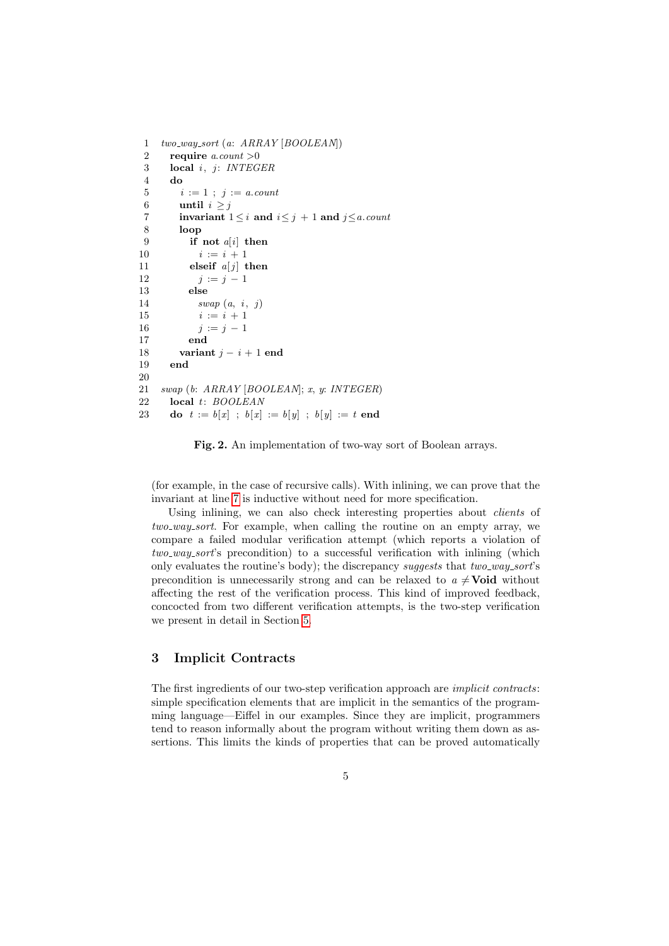```
1 two_way_sort (a: ARRAY [BOOLEAN])
2 require a.count >03 local i, j: INTEGER
4 do
5 i := 1 ; j := a.count6 until i > j7 invariant 1 \leq i and i \leq j + 1 and j \leq a. count
8 loop
9 if not a[i] then
10 i := i + 111 elseif a[j] then
12 j := j - 113 else
14 swap(a, i, j)15 i := i + 116 j := j - 117 end
18 variant j - i + 1 end
19 end
20
21 swap (b: ARRAY [BOOLEAN]; x, y: INTEGER)
22 local t: BOOLEAN
23 do t := b[x]; b[x] := b[y]; b[y] := tend
```
<span id="page-4-2"></span><span id="page-4-1"></span>Fig. 2. An implementation of two-way sort of Boolean arrays.

(for example, in the case of recursive calls). With inlining, we can prove that the invariant at line [7](#page-4-3) is inductive without need for more specification.

Using inlining, we can also check interesting properties about *clients* of two way sort. For example, when calling the routine on an empty array, we compare a failed modular verification attempt (which reports a violation of two way sort's precondition to a successful verification with inlining (which only evaluates the routine's body); the discrepancy suggests that  $two\_way\_sort$ 's precondition is unnecessarily strong and can be relaxed to  $a \neq$ **Void** without affecting the rest of the verification process. This kind of improved feedback, concocted from two different verification attempts, is the two-step verification we present in detail in Section [5.](#page-8-0)

## <span id="page-4-0"></span>3 Implicit Contracts

The first ingredients of our two-step verification approach are implicit contracts: simple specification elements that are implicit in the semantics of the programming language—Eiffel in our examples. Since they are implicit, programmers tend to reason informally about the program without writing them down as assertions. This limits the kinds of properties that can be proved automatically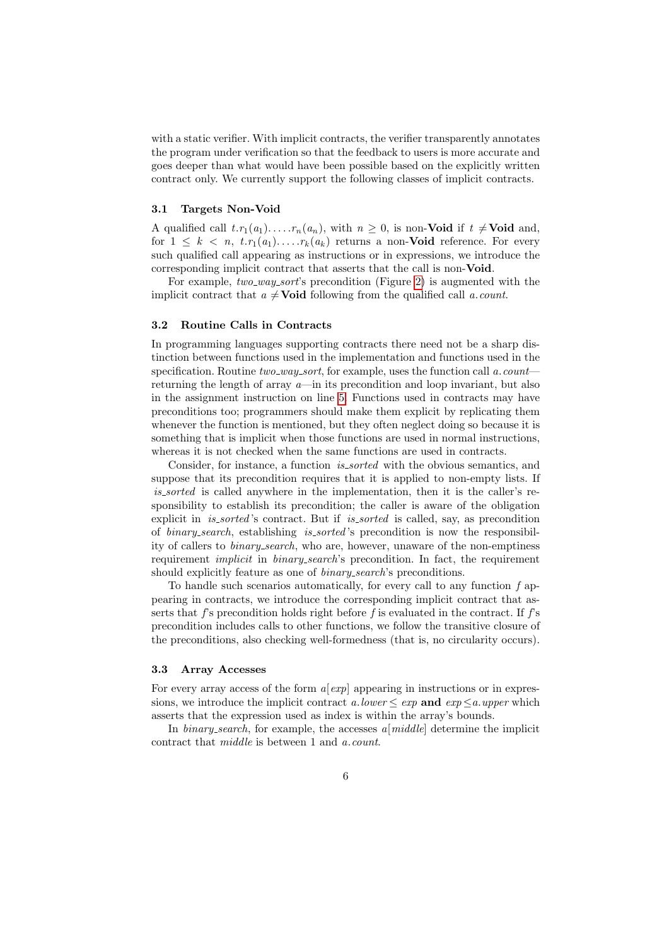with a static verifier. With implicit contracts, the verifier transparently annotates the program under verification so that the feedback to users is more accurate and goes deeper than what would have been possible based on the explicitly written contract only. We currently support the following classes of implicit contracts.

#### 3.1 Targets Non-Void

A qualified call  $t.r_1(a_1)\ldots.r_n(a_n)$ , with  $n \geq 0$ , is non-**Void** if  $t \neq$ **Void** and, for  $1 \leq k \leq n$ ,  $t \cdot r_1(a_1) \cdot \ldots \cdot r_k(a_k)$  returns a non-**Void** reference. For every such qualified call appearing as instructions or in expressions, we introduce the corresponding implicit contract that asserts that the call is non-Void.

For example, two way sort's precondition (Figure [2\)](#page-4-1) is augmented with the implicit contract that  $a \neq$ **Void** following from the qualified call a.count.

## 3.2 Routine Calls in Contracts

In programming languages supporting contracts there need not be a sharp distinction between functions used in the implementation and functions used in the specification. Routine two way sort, for example, uses the function call a. count returning the length of array  $a$ —in its precondition and loop invariant, but also in the assignment instruction on line [5.](#page-4-4) Functions used in contracts may have preconditions too; programmers should make them explicit by replicating them whenever the function is mentioned, but they often neglect doing so because it is something that is implicit when those functions are used in normal instructions, whereas it is not checked when the same functions are used in contracts.

Consider, for instance, a function *is\_sorted* with the obvious semantics, and suppose that its precondition requires that it is applied to non-empty lists. If is sorted is called anywhere in the implementation, then it is the caller's responsibility to establish its precondition; the caller is aware of the obligation explicit in *is\_sorted*'s contract. But if *is\_sorted* is called, say, as precondition of binary search, establishing is sorted 's precondition is now the responsibility of callers to *binary\_search*, who are, however, unaware of the non-emptiness requirement *implicit* in *binary\_search*'s precondition. In fact, the requirement should explicitly feature as one of *binary\_search*'s preconditions.

To handle such scenarios automatically, for every call to any function  $f$  appearing in contracts, we introduce the corresponding implicit contract that asserts that  $f$ 's precondition holds right before f is evaluated in the contract. If  $f$ 's precondition includes calls to other functions, we follow the transitive closure of the preconditions, also checking well-formedness (that is, no circularity occurs).

#### 3.3 Array Accesses

For every array access of the form  $a[exp]$  appearing in instructions or in expressions, we introduce the implicit contract a.lower  $\leq exp \leq \alpha$  and  $exp \leq \alpha$  upper which asserts that the expression used as index is within the array's bounds.

In *binary\_search*, for example, the accesses  $a[middle]$  determine the implicit contract that middle is between 1 and a.count.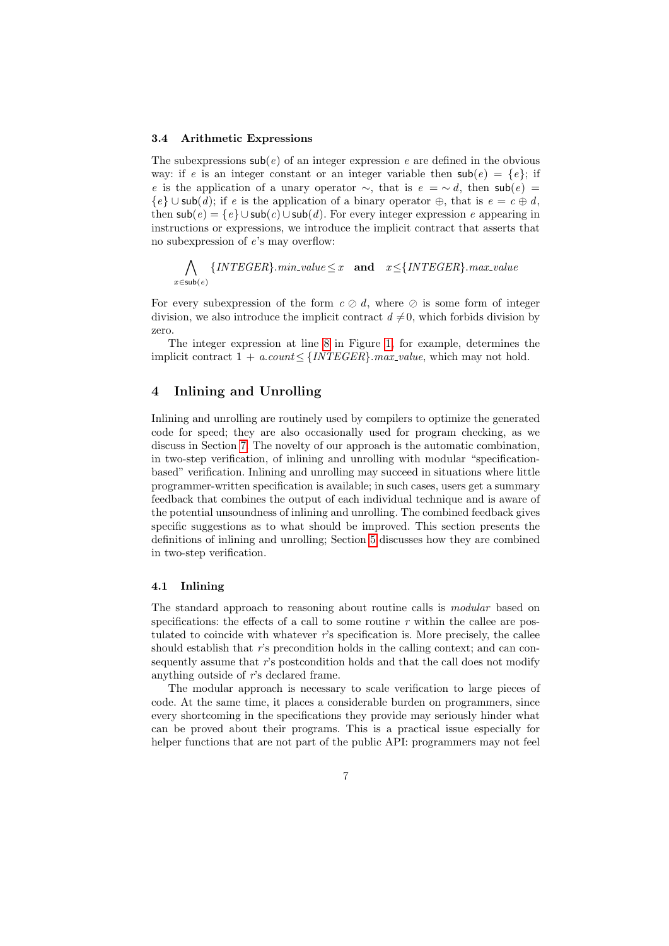#### 3.4 Arithmetic Expressions

The subexpressions  $\mathsf{sub}(e)$  of an integer expression e are defined in the obvious way: if e is an integer constant or an integer variable then  $\mathsf{sub}(e) = \{e\}$ ; if e is the application of a unary operator  $\sim$ , that is  $e = \sim d$ , then sub(e) =  ${e} \cup \mathsf{sub}(d)$ ; if e is the application of a binary operator  $\oplus$ , that is  $e = c \oplus d$ , then  $\mathsf{sub}(e) = \{e\} \cup \mathsf{sub}(c) \cup \mathsf{sub}(d)$ . For every integer expression e appearing in instructions or expressions, we introduce the implicit contract that asserts that no subexpression of e's may overflow:

$$
\bigwedge_{x \in \mathsf{sub}(e)} \{INTEGER\}.min\_value \le x \quad \text{and} \quad x \le \{INTEGER\}.max\_value
$$

For every subexpression of the form  $c \oslash d$ , where  $\oslash$  is some form of integer division, we also introduce the implicit contract  $d \neq 0$ , which forbids division by zero.

The integer expression at line [8](#page-2-1) in Figure [1,](#page-2-0) for example, determines the implicit contract  $1 + a$ .count  $\leq \{INTER\}$ .max\_value, which may not hold.

## <span id="page-6-0"></span>4 Inlining and Unrolling

Inlining and unrolling are routinely used by compilers to optimize the generated code for speed; they are also occasionally used for program checking, as we discuss in Section [7.](#page-16-0) The novelty of our approach is the automatic combination, in two-step verification, of inlining and unrolling with modular "specificationbased" verification. Inlining and unrolling may succeed in situations where little programmer-written specification is available; in such cases, users get a summary feedback that combines the output of each individual technique and is aware of the potential unsoundness of inlining and unrolling. The combined feedback gives specific suggestions as to what should be improved. This section presents the definitions of inlining and unrolling; Section [5](#page-8-0) discusses how they are combined in two-step verification.

## 4.1 Inlining

The standard approach to reasoning about routine calls is modular based on specifications: the effects of a call to some routine  $r$  within the callee are postulated to coincide with whatever  $r$ 's specification is. More precisely, the callee should establish that r's precondition holds in the calling context; and can consequently assume that r's postcondition holds and that the call does not modify anything outside of r's declared frame.

The modular approach is necessary to scale verification to large pieces of code. At the same time, it places a considerable burden on programmers, since every shortcoming in the specifications they provide may seriously hinder what can be proved about their programs. This is a practical issue especially for helper functions that are not part of the public API: programmers may not feel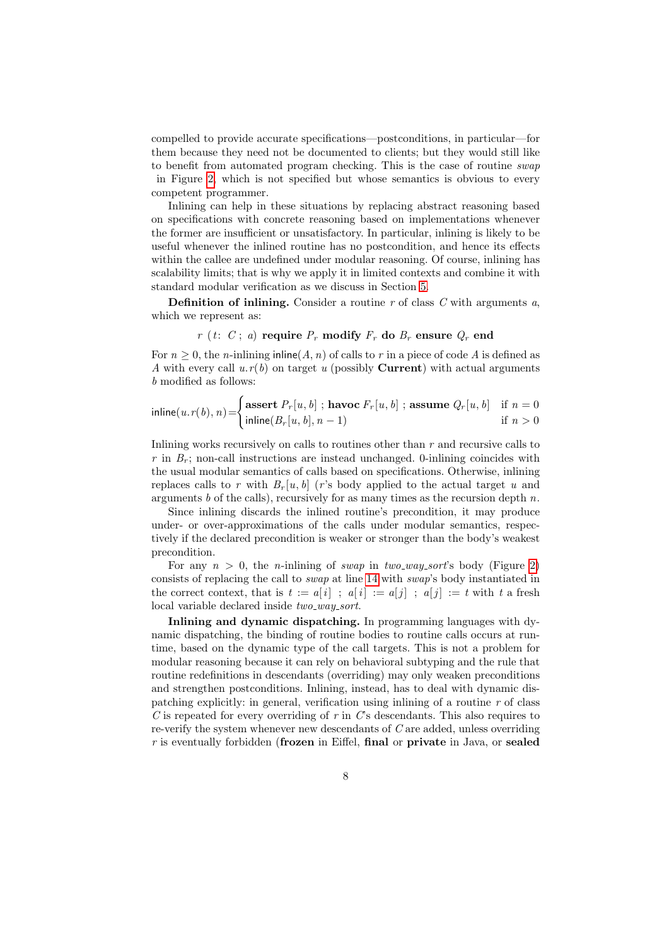compelled to provide accurate specifications—postconditions, in particular—for them because they need not be documented to clients; but they would still like to benefit from automated program checking. This is the case of routine swap in Figure [2,](#page-4-1) which is not specified but whose semantics is obvious to every competent programmer.

Inlining can help in these situations by replacing abstract reasoning based on specifications with concrete reasoning based on implementations whenever the former are insufficient or unsatisfactory. In particular, inlining is likely to be useful whenever the inlined routine has no postcondition, and hence its effects within the callee are undefined under modular reasoning. Of course, inlining has scalability limits; that is why we apply it in limited contexts and combine it with standard modular verification as we discuss in Section [5.](#page-8-0)

**Definition of inlining.** Consider a routine r of class C with arguments a, which we represent as:

r (*t*: 
$$
C
$$
;  $a$ ) require  $P_r$  modify  $F_r$  do  $B_r$  ensure  $Q_r$  end

For  $n \geq 0$ , the *n*-inlining indine $(A, n)$  of calls to r in a piece of code A is defined as A with every call  $u.r(b)$  on target u (possibly **Current**) with actual arguments b modified as follows:

$$
inline(u.r(b), n) =\n\begin{cases}\n\text{assert } P_r[u, b] \text{; have } F_r[u, b] \text{; assume } Q_r[u, b] & \text{if } n = 0 \\
\text{inline}(B_r[u, b], n - 1) & \text{if } n > 0\n\end{cases}
$$

Infining works recursively on calls to routines other than  $r$  and recursive calls to  $r$  in  $B_r$ ; non-call instructions are instead unchanged. 0-inlining coincides with the usual modular semantics of calls based on specifications. Otherwise, inlining replaces calls to r with  $B_r[u, b]$  (r's body applied to the actual target u and arguments b of the calls), recursively for as many times as the recursion depth  $n$ .

Since inlining discards the inlined routine's precondition, it may produce under- or over-approximations of the calls under modular semantics, respectively if the declared precondition is weaker or stronger than the body's weakest precondition.

For any  $n > 0$ , the *n*-inlining of *swap* in *two-way-sort*'s body (Figure [2\)](#page-4-1) consists of replacing the call to swap at line [14](#page-4-2) with swap's body instantiated in the correct context, that is  $t := a[i]$ ;  $a[i] := a[j]$ ;  $a[j] := t$  with t a fresh local variable declared inside two way sort.

Inlining and dynamic dispatching. In programming languages with dynamic dispatching, the binding of routine bodies to routine calls occurs at runtime, based on the dynamic type of the call targets. This is not a problem for modular reasoning because it can rely on behavioral subtyping and the rule that routine redefinitions in descendants (overriding) may only weaken preconditions and strengthen postconditions. Inlining, instead, has to deal with dynamic dispatching explicitly: in general, verification using inlining of a routine r of class C is repeated for every overriding of r in  $C$ s descendants. This also requires to re-verify the system whenever new descendants of  $C$  are added, unless overriding  $r$  is eventually forbidden (frozen in Eiffel, final or private in Java, or sealed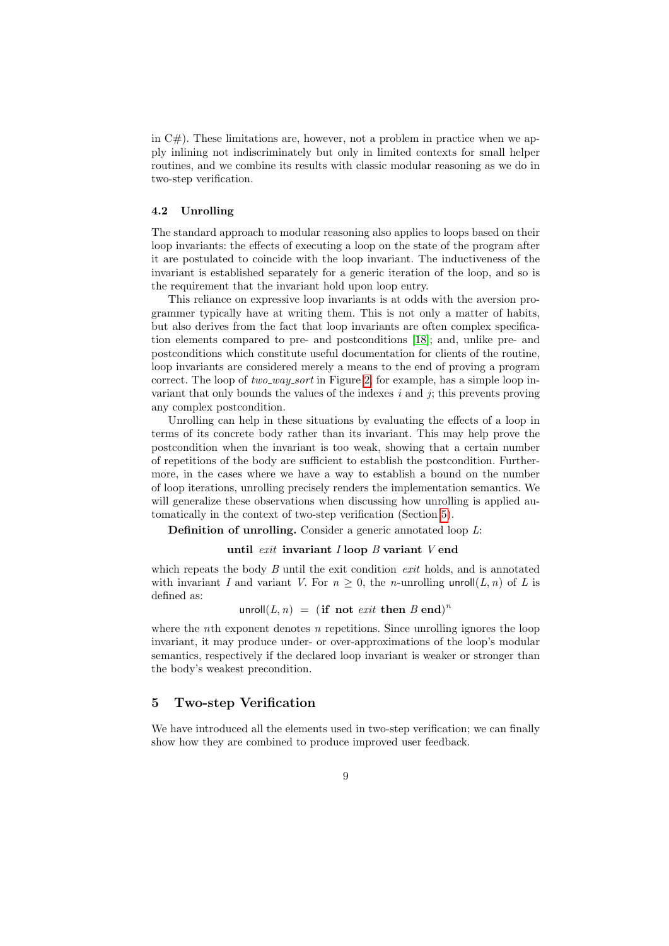in C#). These limitations are, however, not a problem in practice when we apply inlining not indiscriminately but only in limited contexts for small helper routines, and we combine its results with classic modular reasoning as we do in two-step verification.

### 4.2 Unrolling

The standard approach to modular reasoning also applies to loops based on their loop invariants: the effects of executing a loop on the state of the program after it are postulated to coincide with the loop invariant. The inductiveness of the invariant is established separately for a generic iteration of the loop, and so is the requirement that the invariant hold upon loop entry.

This reliance on expressive loop invariants is at odds with the aversion programmer typically have at writing them. This is not only a matter of habits, but also derives from the fact that loop invariants are often complex specification elements compared to pre- and postconditions [\[18\]](#page-19-1); and, unlike pre- and postconditions which constitute useful documentation for clients of the routine, loop invariants are considered merely a means to the end of proving a program correct. The loop of  $two\_way\_sort$  in Figure [2,](#page-4-1) for example, has a simple loop invariant that only bounds the values of the indexes i and  $j$ ; this prevents proving any complex postcondition.

Unrolling can help in these situations by evaluating the effects of a loop in terms of its concrete body rather than its invariant. This may help prove the postcondition when the invariant is too weak, showing that a certain number of repetitions of the body are sufficient to establish the postcondition. Furthermore, in the cases where we have a way to establish a bound on the number of loop iterations, unrolling precisely renders the implementation semantics. We will generalize these observations when discussing how unrolling is applied automatically in the context of two-step verification (Section [5\)](#page-8-0).

Definition of unrolling. Consider a generic annotated loop L:

#### until  $exit$  invariant  $I$  loop  $B$  variant  $V$  end

which repeats the body  $B$  until the exit condition *exit* holds, and is annotated with invariant I and variant V. For  $n \geq 0$ , the n-unrolling unroll $(L, n)$  of L is defined as:

unroll $(L, n)$  = (if not exit then B end)<sup>n</sup>

where the *n*th exponent denotes  $n$  repetitions. Since unrolling ignores the loop invariant, it may produce under- or over-approximations of the loop's modular semantics, respectively if the declared loop invariant is weaker or stronger than the body's weakest precondition.

### <span id="page-8-0"></span>5 Two-step Verification

We have introduced all the elements used in two-step verification; we can finally show how they are combined to produce improved user feedback.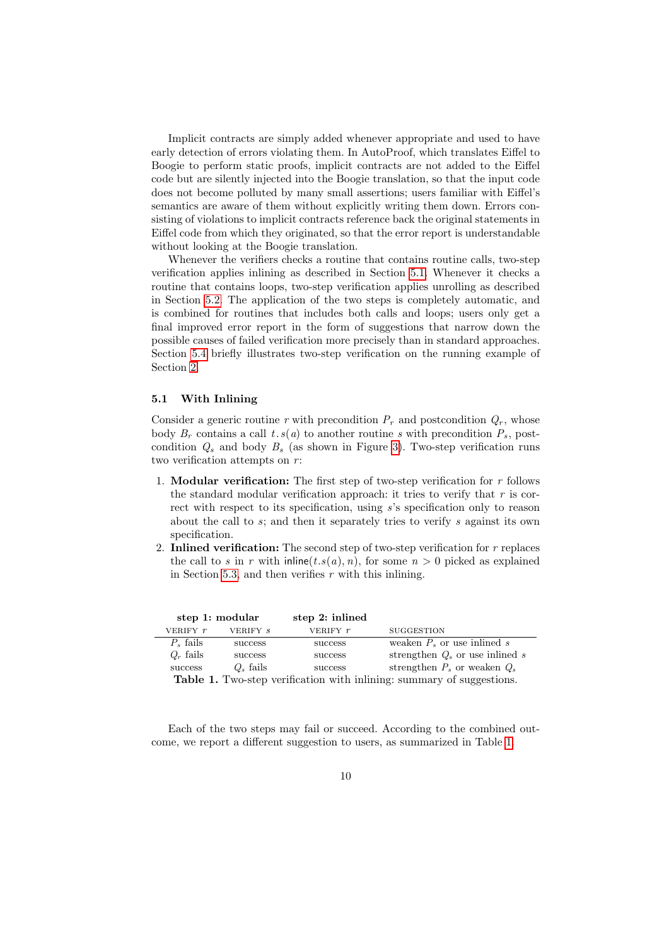Implicit contracts are simply added whenever appropriate and used to have early detection of errors violating them. In AutoProof, which translates Eiffel to Boogie to perform static proofs, implicit contracts are not added to the Eiffel code but are silently injected into the Boogie translation, so that the input code does not become polluted by many small assertions; users familiar with Eiffel's semantics are aware of them without explicitly writing them down. Errors consisting of violations to implicit contracts reference back the original statements in Eiffel code from which they originated, so that the error report is understandable without looking at the Boogie translation.

Whenever the verifiers checks a routine that contains routine calls, two-step verification applies inlining as described in Section [5.1.](#page-9-0) Whenever it checks a routine that contains loops, two-step verification applies unrolling as described in Section [5.2.](#page-11-0) The application of the two steps is completely automatic, and is combined for routines that includes both calls and loops; users only get a final improved error report in the form of suggestions that narrow down the possible causes of failed verification more precisely than in standard approaches. Section [5.4](#page-13-0) briefly illustrates two-step verification on the running example of Section [2.](#page-2-2)

#### <span id="page-9-0"></span>5.1 With Inlining

Consider a generic routine r with precondition  $P_r$  and postcondition  $Q_r$ , whose body  $B_r$  contains a call  $t \cdot s(a)$  to another routine s with precondition  $P_s$ , postcondition  $Q_s$  and body  $B_s$  (as shown in Figure [3\)](#page-10-0). Two-step verification runs two verification attempts on  $r$ :

- 1. **Modular verification:** The first step of two-step verification for  $r$  follows the standard modular verification approach: it tries to verify that  $r$  is correct with respect to its specification, using s's specification only to reason about the call to s; and then it separately tries to verify s against its own specification.
- 2. Inlined verification: The second step of two-step verification for  $r$  replaces the call to s in r with indine $(t,s(a), n)$ , for some  $n > 0$  picked as explained in Section [5.3,](#page-12-0) and then verifies  $r$  with this inlining.

<span id="page-9-1"></span>

|                                                                       | step 1: modular | step 2: inlined |                                   |  |  |  |  |
|-----------------------------------------------------------------------|-----------------|-----------------|-----------------------------------|--|--|--|--|
| VERIFY r                                                              | VERIFY S        | VERIFY r        | <b>SUGGESTION</b>                 |  |  |  |  |
| $P_s$ fails                                                           | success         | success         | weaken $P_s$ or use inlined s     |  |  |  |  |
| $Q_r$ fails                                                           | success         | success         | strengthen $Q_s$ or use inlined s |  |  |  |  |
| success                                                               | $Q_s$ fails     | success         | strengthen $P_s$ or weaken $Q_s$  |  |  |  |  |
| Table 1. Two-step verification with inlining: summary of suggestions. |                 |                 |                                   |  |  |  |  |

Each of the two steps may fail or succeed. According to the combined outcome, we report a different suggestion to users, as summarized in Table [1.](#page-9-1)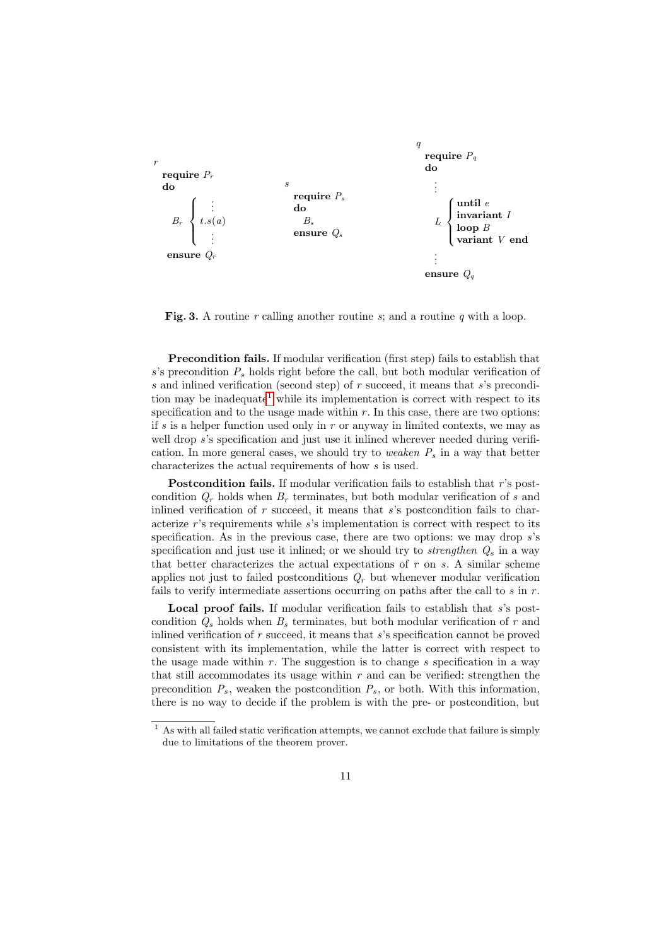

<span id="page-10-0"></span>Fig. 3. A routine  $r$  calling another routine  $s$ ; and a routine  $q$  with a loop.

Precondition fails. If modular verification (first step) fails to establish that s's precondition  $P_s$  holds right before the call, but both modular verification of  $s$  and inlined verification (second step) of  $r$  succeed, it means that  $s$ 's precondi-tion may be inadequate<sup>[1](#page-10-1)</sup> while its implementation is correct with respect to its specification and to the usage made within  $r$ . In this case, there are two options: if s is a helper function used only in  $r$  or anyway in limited contexts, we may as well drop s's specification and just use it inlined wherever needed during verification. In more general cases, we should try to *weaken*  $P_s$  in a way that better characterizes the actual requirements of how s is used.

**Postcondition fails.** If modular verification fails to establish that  $r$ 's postcondition  $Q_r$  holds when  $B_r$  terminates, but both modular verification of s and inlined verification of  $r$  succeed, it means that  $s$ 's postcondition fails to characterize r's requirements while  $s$ 's implementation is correct with respect to its specification. As in the previous case, there are two options: we may drop s's specification and just use it inlined; or we should try to *strengthen*  $Q_s$  in a way that better characterizes the actual expectations of  $r$  on  $s$ . A similar scheme applies not just to failed postconditions  $Q_r$  but whenever modular verification fails to verify intermediate assertions occurring on paths after the call to  $s$  in  $r$ .

**Local proof fails.** If modular verification fails to establish that  $s$ 's postcondition  $Q_s$  holds when  $B_s$  terminates, but both modular verification of r and inlined verification of  $r$  succeed, it means that  $s$ 's specification cannot be proved consistent with its implementation, while the latter is correct with respect to the usage made within r. The suggestion is to change s specification in a way that still accommodates its usage within  $r$  and can be verified: strengthen the precondition  $P_s$ , weaken the postcondition  $P_s$ , or both. With this information, there is no way to decide if the problem is with the pre- or postcondition, but

<span id="page-10-1"></span> $1$  As with all failed static verification attempts, we cannot exclude that failure is simply due to limitations of the theorem prover.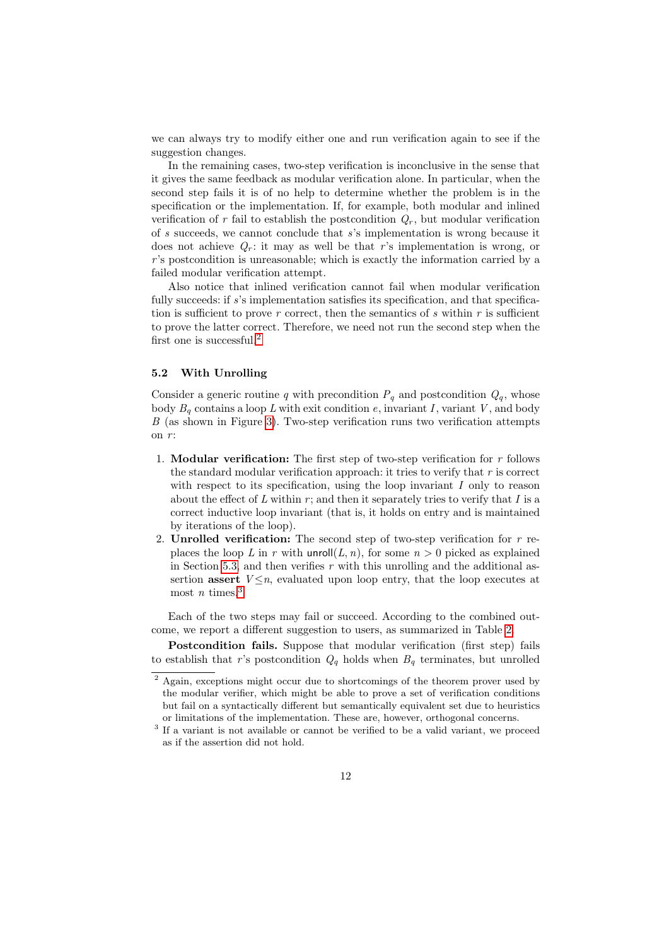we can always try to modify either one and run verification again to see if the suggestion changes.

In the remaining cases, two-step verification is inconclusive in the sense that it gives the same feedback as modular verification alone. In particular, when the second step fails it is of no help to determine whether the problem is in the specification or the implementation. If, for example, both modular and inlined verification of r fail to establish the postcondition  $Q_r$ , but modular verification of s succeeds, we cannot conclude that s's implementation is wrong because it does not achieve  $Q_r$ : it may as well be that r's implementation is wrong, or r's postcondition is unreasonable; which is exactly the information carried by a failed modular verification attempt.

Also notice that inlined verification cannot fail when modular verification fully succeeds: if s's implementation satisfies its specification, and that specification is sufficient to prove  $r$  correct, then the semantics of  $s$  within  $r$  is sufficient to prove the latter correct. Therefore, we need not run the second step when the first one is successful.[2](#page-11-1)

### <span id="page-11-0"></span>5.2 With Unrolling

Consider a generic routine q with precondition  $P_q$  and postcondition  $Q_q$ , whose body  $B_q$  contains a loop L with exit condition e, invariant I, variant V, and body B (as shown in Figure [3\)](#page-10-0). Two-step verification runs two verification attempts on  $r$ :

- 1. **Modular verification:** The first step of two-step verification for  $r$  follows the standard modular verification approach: it tries to verify that  $r$  is correct with respect to its specification, using the loop invariant  $I$  only to reason about the effect of  $L$  within  $r$ ; and then it separately tries to verify that  $I$  is a correct inductive loop invariant (that is, it holds on entry and is maintained by iterations of the loop).
- 2. Unrolled verification: The second step of two-step verification for  $r$  replaces the loop L in r with  $unroll(L, n)$ , for some  $n > 0$  picked as explained in Section [5.3,](#page-12-0) and then verifies  $r$  with this unrolling and the additional assertion assert  $V \leq n$ , evaluated upon loop entry, that the loop executes at most  $n \times 3$  $n \times 3$

Each of the two steps may fail or succeed. According to the combined outcome, we report a different suggestion to users, as summarized in Table [2.](#page-12-1)

Postcondition fails. Suppose that modular verification (first step) fails to establish that r's postcondition  $Q_q$  holds when  $B_q$  terminates, but unrolled

<span id="page-11-1"></span><sup>2</sup> Again, exceptions might occur due to shortcomings of the theorem prover used by the modular verifier, which might be able to prove a set of verification conditions but fail on a syntactically different but semantically equivalent set due to heuristics or limitations of the implementation. These are, however, orthogonal concerns.

<span id="page-11-2"></span><sup>&</sup>lt;sup>3</sup> If a variant is not available or cannot be verified to be a valid variant, we proceed as if the assertion did not hold.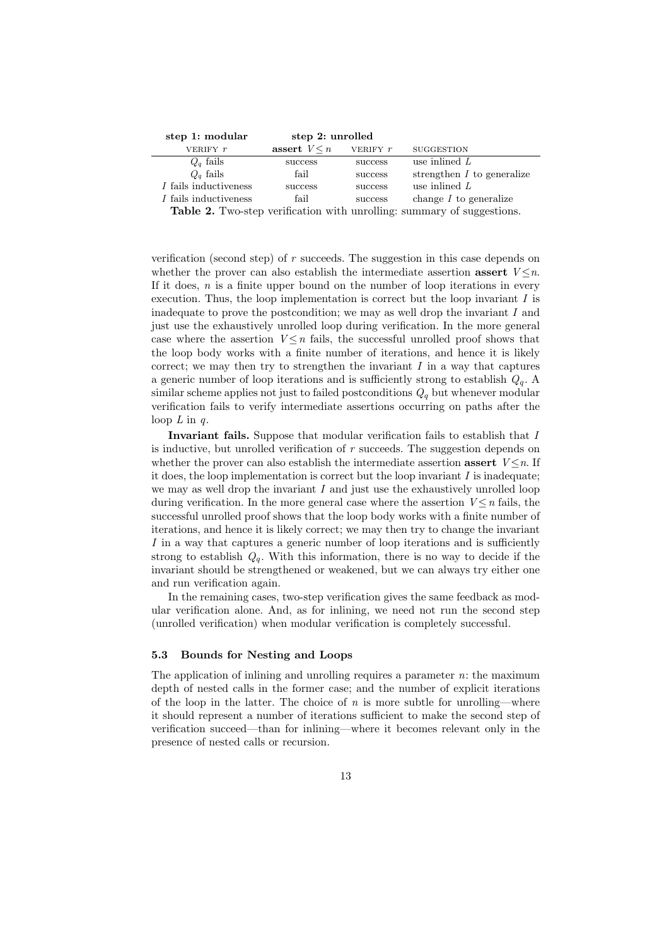| step 1: modular       |                   | step 2: unrolled |                                                                               |
|-----------------------|-------------------|------------------|-------------------------------------------------------------------------------|
| VERIFY r              | assert $V \leq n$ | VERIFY $r$       | <b>SUGGESTION</b>                                                             |
| $Q_q$ fails           | success           | success          | use inlined $L$                                                               |
| $Q_q$ fails           | fail              | success          | strengthen $I$ to generalize                                                  |
| I fails inductiveness | success           | success          | use inlined $L$                                                               |
| I fails inductiveness | fail              | success          | change $I$ to generalize                                                      |
|                       |                   |                  | <b>Table 2.</b> Two-step verification with unrolling: summary of suggestions. |

<span id="page-12-1"></span>verification (second step) of r succeeds. The suggestion in this case depends on whether the prover can also establish the intermediate assertion **assert**  $V \leq n$ . If it does,  $n$  is a finite upper bound on the number of loop iterations in every execution. Thus, the loop implementation is correct but the loop invariant  $I$  is inadequate to prove the postcondition; we may as well drop the invariant  $I$  and just use the exhaustively unrolled loop during verification. In the more general case where the assertion  $V \leq n$  fails, the successful unrolled proof shows that the loop body works with a finite number of iterations, and hence it is likely correct; we may then try to strengthen the invariant  $I$  in a way that captures a generic number of loop iterations and is sufficiently strong to establish  $Q_q$ . A similar scheme applies not just to failed postconditions  $Q_q$  but whenever modular verification fails to verify intermediate assertions occurring on paths after the loop  $L$  in  $q$ .

Invariant fails. Suppose that modular verification fails to establish that I is inductive, but unrolled verification of  $r$  succeeds. The suggestion depends on whether the prover can also establish the intermediate assertion **assert**  $V \leq n$ . If it does, the loop implementation is correct but the loop invariant  $I$  is inadequate; we may as well drop the invariant  $I$  and just use the exhaustively unrolled loop during verification. In the more general case where the assertion  $V \leq n$  fails, the successful unrolled proof shows that the loop body works with a finite number of iterations, and hence it is likely correct; we may then try to change the invariant I in a way that captures a generic number of loop iterations and is sufficiently strong to establish  $Q_q$ . With this information, there is no way to decide if the invariant should be strengthened or weakened, but we can always try either one and run verification again.

In the remaining cases, two-step verification gives the same feedback as modular verification alone. And, as for inlining, we need not run the second step (unrolled verification) when modular verification is completely successful.

### <span id="page-12-0"></span>5.3 Bounds for Nesting and Loops

The application of inlining and unrolling requires a parameter  $n$ : the maximum depth of nested calls in the former case; and the number of explicit iterations of the loop in the latter. The choice of  $n$  is more subtle for unrolling—where it should represent a number of iterations sufficient to make the second step of verification succeed—than for inlining—where it becomes relevant only in the presence of nested calls or recursion.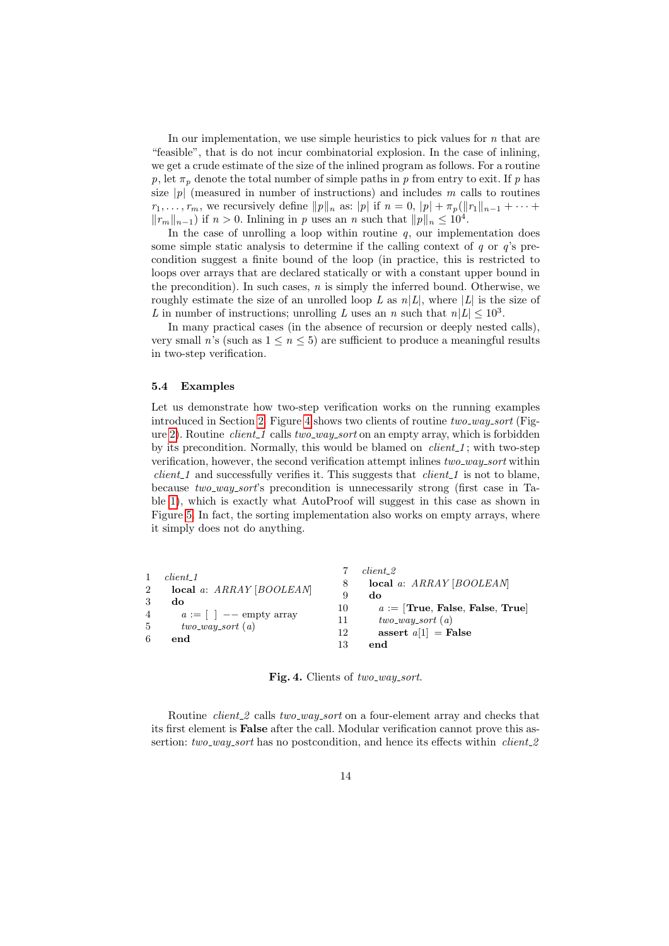In our implementation, we use simple heuristics to pick values for  $n$  that are "feasible", that is do not incur combinatorial explosion. In the case of inlining, we get a crude estimate of the size of the inlined program as follows. For a routine p, let  $\pi_p$  denote the total number of simple paths in p from entry to exit. If p has size  $|p|$  (measured in number of instructions) and includes m calls to routines  $r_1, \ldots, r_m$ , we recursively define  $||p||_n$  as:  $|p|$  if  $n = 0, |p| + \pi_p(||r_1||_{n-1} + \cdots +$  $||r_m||_{n-1}$  if  $n > 0$ . Inlining in p uses an n such that  $||p||_n \leq 10^4$ .

In the case of unrolling a loop within routine  $q$ , our implementation does some simple static analysis to determine if the calling context of  $q$  or  $q$ 's precondition suggest a finite bound of the loop (in practice, this is restricted to loops over arrays that are declared statically or with a constant upper bound in the precondition). In such cases,  $n$  is simply the inferred bound. Otherwise, we roughly estimate the size of an unrolled loop L as  $n|L|$ , where |L| is the size of L in number of instructions; unrolling L uses an n such that  $n|L| \leq 10^3$ .

In many practical cases (in the absence of recursion or deeply nested calls), very small n's (such as  $1 \leq n \leq 5$ ) are sufficient to produce a meaningful results in two-step verification.

### <span id="page-13-0"></span>5.4 Examples

Let us demonstrate how two-step verification works on the running examples introduced in Section [2.](#page-2-2) Figure [4](#page-13-1) shows two clients of routine  $two\_way\_sort$  (Fig-ure [2\)](#page-4-1). Routine *client\_1* calls two\_way\_sort on an empty array, which is forbidden by its precondition. Normally, this would be blamed on  $client_1$ ; with two-step verification, however, the second verification attempt inlines  $two\_way\_sort$  within  $client\_1$  and successfully verifies it. This suggests that  $client\_1$  is not to blame, because two way sort's precondition is unnecessarily strong (first case in Table [1\)](#page-9-1), which is exactly what AutoProof will suggest in this case as shown in Figure [5.](#page-14-1) In fact, the sorting implementation also works on empty arrays, where it simply does not do anything.

|                | $client_1$                    |    | $client_2$                      |
|----------------|-------------------------------|----|---------------------------------|
|                |                               |    | local $a: ARRAY [BOOLEAN]$      |
| $2^{\circ}$    | local $a: ARRAY$ [BOOLEAN]    |    | do                              |
| 3              | do                            | 10 | $a :=$ True, False, False, True |
|                | 4 $a := [$   $--$ empty array |    |                                 |
| 5 <sup>5</sup> | $two\_way\_sort(a)$           | 11 | $two\_way\_sort(a)$             |
| 6              |                               | 12 | assert $a[1]$ = False           |
|                | end                           | 13 | end                             |

<span id="page-13-1"></span>Fig. 4. Clients of two\_way\_sort.

Routine *client 2* calls two way sort on a four-element array and checks that its first element is False after the call. Modular verification cannot prove this assertion: two way sort has no postcondition, and hence its effects within  $client_2$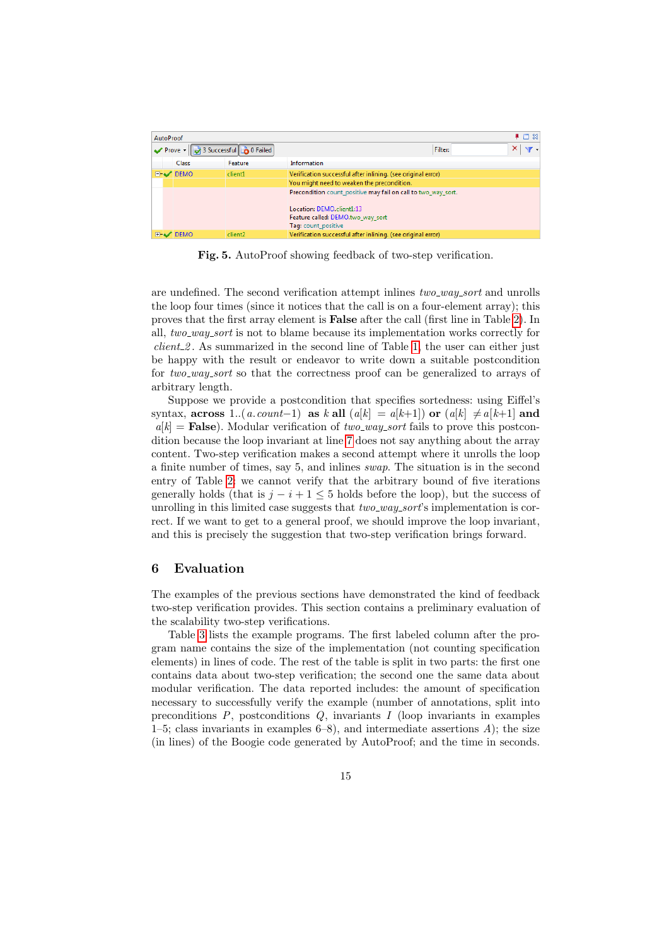| AutoProof |             |                                            | ዛ □ ⊠∣                                                                                                                                                 |  |  |  |  |  |  |
|-----------|-------------|--------------------------------------------|--------------------------------------------------------------------------------------------------------------------------------------------------------|--|--|--|--|--|--|
|           |             | Prove - 3 Successful <b>&amp;</b> 0 Failed | <b>Filter:</b>                                                                                                                                         |  |  |  |  |  |  |
|           | Class       | Feature                                    | Information                                                                                                                                            |  |  |  |  |  |  |
|           | $E-V$ DEMO  | client1                                    | Verification successful after inlining. (see original error)                                                                                           |  |  |  |  |  |  |
|           |             |                                            | You might need to weaken the precondition.                                                                                                             |  |  |  |  |  |  |
|           |             |                                            | Precondition count_positive may fail on call to two_way_sort.<br>Location: DEMO.client1:13<br>Feature called: DEMO.two way sort<br>Tag: count positive |  |  |  |  |  |  |
|           | <b>DEMO</b> | client <sub>2</sub>                        | Verification successful after inlining. (see original error)                                                                                           |  |  |  |  |  |  |

<span id="page-14-1"></span>Fig. 5. AutoProof showing feedback of two-step verification.

are undefined. The second verification attempt inlines two way sort and unrolls the loop four times (since it notices that the call is on a four-element array); this proves that the first array element is False after the call (first line in Table [2\)](#page-12-1). In all, two way sort is not to blame because its implementation works correctly for  $client\_2$ . As summarized in the second line of Table [1,](#page-9-1) the user can either just be happy with the result or endeavor to write down a suitable postcondition for two way sort so that the correctness proof can be generalized to arrays of arbitrary length.

Suppose we provide a postcondition that specifies sortedness: using Eiffel's syntax, across 1..(a.count−1) as k all  $(a[k] = a[k+1])$  or  $(a[k] \neq a[k+1]$  and  $a[k] =$ **False**). Modular verification of *two way sort* fails to prove this postcondition because the loop invariant at line [7](#page-4-3) does not say anything about the array content. Two-step verification makes a second attempt where it unrolls the loop a finite number of times, say 5, and inlines swap. The situation is in the second entry of Table [2:](#page-12-1) we cannot verify that the arbitrary bound of five iterations generally holds (that is  $j - i + 1 \leq 5$  holds before the loop), but the success of unrolling in this limited case suggests that  $two\_way\_sort$ 's implementation is correct. If we want to get to a general proof, we should improve the loop invariant, and this is precisely the suggestion that two-step verification brings forward.

## <span id="page-14-0"></span>6 Evaluation

The examples of the previous sections have demonstrated the kind of feedback two-step verification provides. This section contains a preliminary evaluation of the scalability two-step verifications.

Table [3](#page-15-0) lists the example programs. The first labeled column after the program name contains the size of the implementation (not counting specification elements) in lines of code. The rest of the table is split in two parts: the first one contains data about two-step verification; the second one the same data about modular verification. The data reported includes: the amount of specification necessary to successfully verify the example (number of annotations, split into preconditions  $P$ , postconditions  $Q$ , invariants  $I$  (loop invariants in examples 1–5; class invariants in examples  $6-8$ ), and intermediate assertions A); the size (in lines) of the Boogie code generated by AutoProof; and the time in seconds.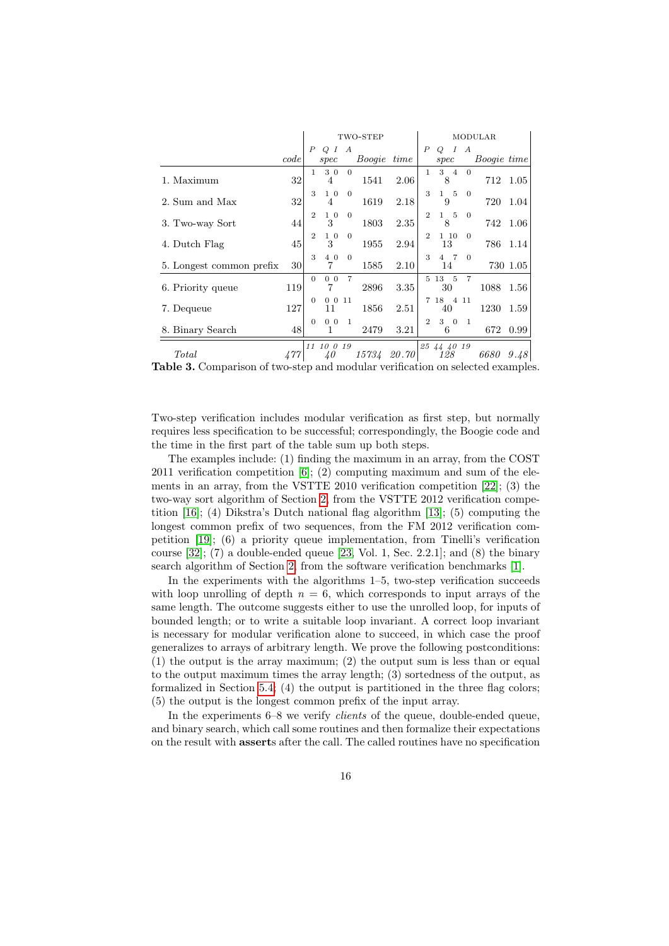|                          |      | TWO-STEP                    |                            |                  | <b>MODULAR</b> |       |                |                                        |                  |                    |          |
|--------------------------|------|-----------------------------|----------------------------|------------------|----------------|-------|----------------|----------------------------------------|------------------|--------------------|----------|
|                          | code | $\boldsymbol{P}$            | Q<br>spec                  | $\boldsymbol{A}$ | Boogie time    |       | $\overline{P}$ | I<br>Q<br>spec                         | $\boldsymbol{A}$ | <i>Boogie time</i> |          |
| 1. Maximum               | 32   | 1                           | 3 0<br>4                   | $\overline{0}$   | 1541           | 2.06  | 1              | 3<br>$\overline{4}$<br>8               | $\theta$         | 712                | -1.05    |
| 2. Sum and Max           | 32   | 3                           | $\theta$<br>1<br>4         | $\Omega$         | 1619           | 2.18  | 3              | 5<br>9                                 | $\Omega$         | 720                | 1.04     |
| 3. Two-way Sort          | 44   | $\mathcal{D}_{\mathcal{L}}$ | 1 0<br>3                   | $\overline{0}$   | 1803           | 2.35  | $\overline{2}$ | 5<br>8                                 | $\theta$         | 742                | 1.06     |
| 4. Dutch Flag            | 45   | $\overline{2}$              | $1\quad0$<br>3             | $\Omega$         | 1955           | 2.94  | $\overline{2}$ | 1 10<br>13                             | $\Omega$         | 786                | 1.14     |
| 5. Longest common prefix | 30   | 3                           | 4 0                        | $\overline{0}$   | 1585           | 2.10  | 3              | $\overline{7}$<br>$\overline{4}$<br>14 | $\Omega$         |                    | 730 1.05 |
| 6. Priority queue        | 119  | $\Omega$                    | 0 <sub>0</sub><br>7        | $\overline{7}$   | 2896           | 3.35  |                | 5 13<br>5<br>30                        | $\overline{7}$   | 1088               | 1.56     |
| 7. Dequeue               | 127  | $\Omega$                    | $\Omega$<br>$\Omega$<br>11 | 11               | 1856           | 2.51  | 7              | 18<br>40                               | 4 1 1            | 1230               | 1.59     |
| 8. Binary Search         | 48   | $\Omega$                    | 0 <sub>0</sub>             | 1                | 2479           | 3.21  | $\overline{2}$ | 3<br>$\overline{0}$<br>6               | 1                | 672                | 0.99     |
| Total                    | 477  |                             | 11 10 0 19<br>40           |                  | 15734          | 20.70 |                | 25 44 40 19<br>128                     |                  | 6680               | 9.48     |

<span id="page-15-0"></span>Table 3. Comparison of two-step and modular verification on selected examples.

Two-step verification includes modular verification as first step, but normally requires less specification to be successful; correspondingly, the Boogie code and the time in the first part of the table sum up both steps.

The examples include: (1) finding the maximum in an array, from the COST 2011 verification competition [\[6\]](#page-18-5); (2) computing maximum and sum of the elements in an array, from the VSTTE 2010 verification competition [\[22\]](#page-19-17); (3) the two-way sort algorithm of Section [2,](#page-2-2) from the VSTTE 2012 verification competition [\[16\]](#page-19-14); (4) Dikstra's Dutch national flag algorithm [\[13\]](#page-19-18); (5) computing the longest common prefix of two sequences, from the FM 2012 verification competition [\[19\]](#page-19-19); (6) a priority queue implementation, from Tinelli's verification course  $[32]$ ;  $(7)$  a double-ended queue  $[23, \text{Vol. 1, Sec. 2.2.1}]$  $[23, \text{Vol. 1, Sec. 2.2.1}]$ ; and  $(8)$  the binary search algorithm of Section [2,](#page-2-2) from the software verification benchmarks [\[1\]](#page-18-3).

In the experiments with the algorithms 1–5, two-step verification succeeds with loop unrolling of depth  $n = 6$ , which corresponds to input arrays of the same length. The outcome suggests either to use the unrolled loop, for inputs of bounded length; or to write a suitable loop invariant. A correct loop invariant is necessary for modular verification alone to succeed, in which case the proof generalizes to arrays of arbitrary length. We prove the following postconditions: (1) the output is the array maximum; (2) the output sum is less than or equal to the output maximum times the array length; (3) sortedness of the output, as formalized in Section [5.4;](#page-13-0) (4) the output is partitioned in the three flag colors; (5) the output is the longest common prefix of the input array.

In the experiments 6–8 we verify *clients* of the queue, double-ended queue, and binary search, which call some routines and then formalize their expectations on the result with asserts after the call. The called routines have no specification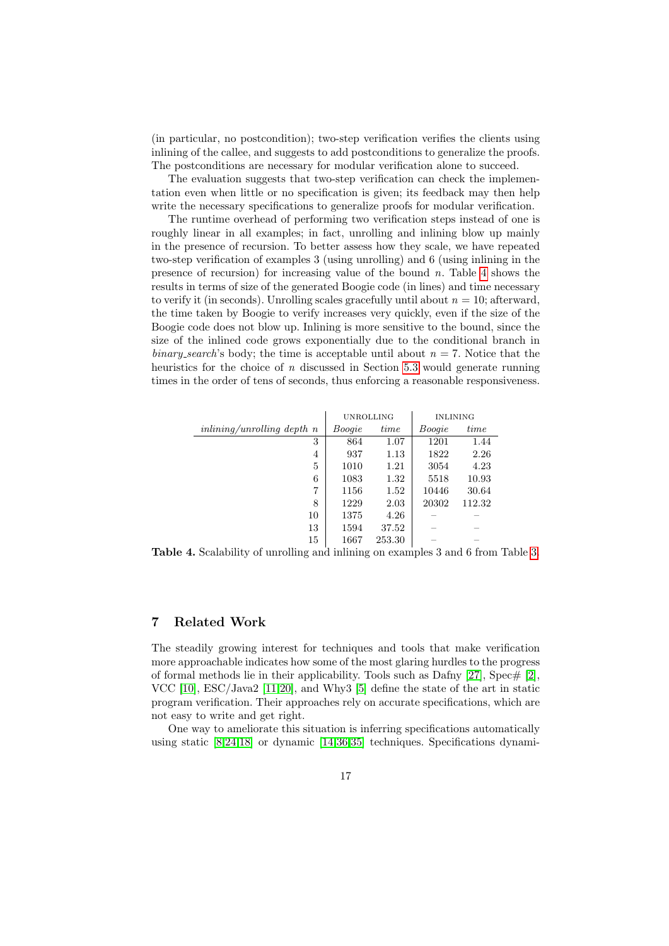(in particular, no postcondition); two-step verification verifies the clients using inlining of the callee, and suggests to add postconditions to generalize the proofs. The postconditions are necessary for modular verification alone to succeed.

The evaluation suggests that two-step verification can check the implementation even when little or no specification is given; its feedback may then help write the necessary specifications to generalize proofs for modular verification.

The runtime overhead of performing two verification steps instead of one is roughly linear in all examples; in fact, unrolling and inlining blow up mainly in the presence of recursion. To better assess how they scale, we have repeated two-step verification of examples 3 (using unrolling) and 6 (using inlining in the presence of recursion) for increasing value of the bound  $n$ . Table [4](#page-16-1) shows the results in terms of size of the generated Boogie code (in lines) and time necessary to verify it (in seconds). Unrolling scales gracefully until about  $n = 10$ ; afterward, the time taken by Boogie to verify increases very quickly, even if the size of the Boogie code does not blow up. Inlining is more sensitive to the bound, since the size of the inlined code grows exponentially due to the conditional branch in binary search's body; the time is acceptable until about  $n = 7$ . Notice that the heuristics for the choice of  $n$  discussed in Section [5.3](#page-12-0) would generate running times in the order of tens of seconds, thus enforcing a reasonable responsiveness.

|                                   |        | UNROLLING | <b>INLINING</b> |        |  |  |
|-----------------------------------|--------|-----------|-----------------|--------|--|--|
| $\int$ inlining/unrolling depth n | Boogie | time      | Boogie          | time   |  |  |
| 3                                 | 864    | 1.07      | 1201            | 1.44   |  |  |
| 4                                 | 937    | 1.13      | 1822            | 2.26   |  |  |
| 5                                 | 1010   | 1.21      | 3054            | 4.23   |  |  |
| 6                                 | 1083   | 1.32      | 5518            | 10.93  |  |  |
| 7                                 | 1156   | 1.52      | 10446           | 30.64  |  |  |
| 8                                 | 1229   | 2.03      | 20302           | 112.32 |  |  |
| 10                                | 1375   | 4.26      |                 |        |  |  |
| 13                                | 1594   | 37.52     |                 |        |  |  |
| 15                                | 1667   | 253.30    |                 |        |  |  |

<span id="page-16-1"></span>Table 4. Scalability of unrolling and inlining on examples 3 and 6 from Table [3.](#page-15-0)

## <span id="page-16-0"></span>7 Related Work

The steadily growing interest for techniques and tools that make verification more approachable indicates how some of the most glaring hurdles to the progress of formal methods lie in their applicability. Tools such as Dafny [\[27\]](#page-19-7),  $Spec \# [2]$  $Spec \# [2]$ , VCC [\[10\]](#page-18-6), ESC/Java2 [\[11](#page-19-9)[,20\]](#page-19-10), and Why3 [\[5\]](#page-18-7) define the state of the art in static program verification. Their approaches rely on accurate specifications, which are not easy to write and get right.

One way to ameliorate this situation is inferring specifications automatically using static [\[8,](#page-18-0)[24](#page-19-0)[,18\]](#page-19-1) or dynamic [\[14,](#page-19-2)[36,](#page-19-3)[35\]](#page-19-4) techniques. Specifications dynami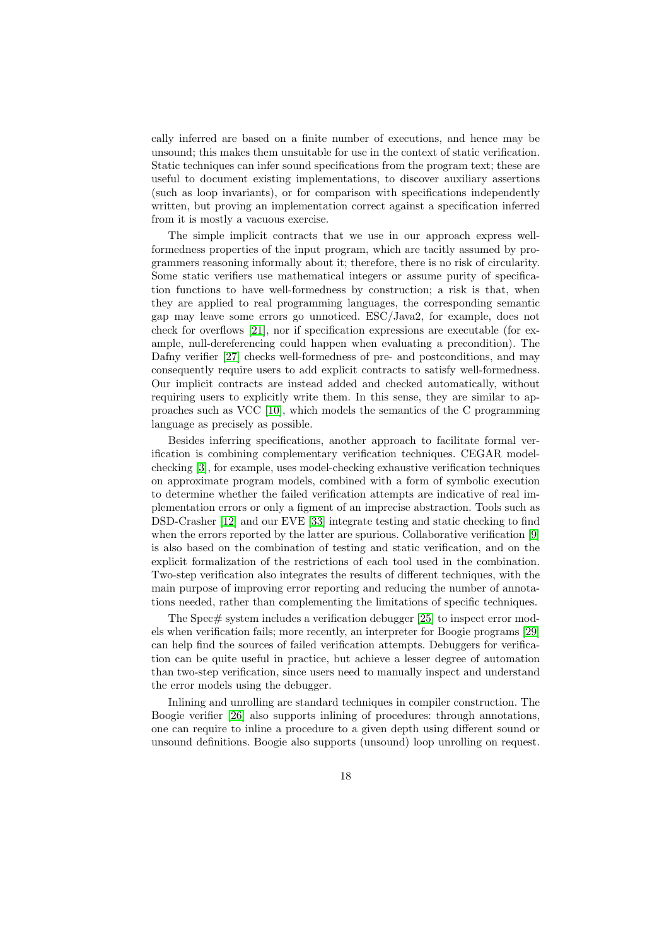cally inferred are based on a finite number of executions, and hence may be unsound; this makes them unsuitable for use in the context of static verification. Static techniques can infer sound specifications from the program text; these are useful to document existing implementations, to discover auxiliary assertions (such as loop invariants), or for comparison with specifications independently written, but proving an implementation correct against a specification inferred from it is mostly a vacuous exercise.

The simple implicit contracts that we use in our approach express wellformedness properties of the input program, which are tacitly assumed by programmers reasoning informally about it; therefore, there is no risk of circularity. Some static verifiers use mathematical integers or assume purity of specification functions to have well-formedness by construction; a risk is that, when they are applied to real programming languages, the corresponding semantic gap may leave some errors go unnoticed. ESC/Java2, for example, does not check for overflows [\[21\]](#page-19-21), nor if specification expressions are executable (for example, null-dereferencing could happen when evaluating a precondition). The Dafny verifier [\[27\]](#page-19-7) checks well-formedness of pre- and postconditions, and may consequently require users to add explicit contracts to satisfy well-formedness. Our implicit contracts are instead added and checked automatically, without requiring users to explicitly write them. In this sense, they are similar to approaches such as VCC [\[10\]](#page-18-6), which models the semantics of the C programming language as precisely as possible.

Besides inferring specifications, another approach to facilitate formal verification is combining complementary verification techniques. CEGAR modelchecking [\[3\]](#page-18-8), for example, uses model-checking exhaustive verification techniques on approximate program models, combined with a form of symbolic execution to determine whether the failed verification attempts are indicative of real implementation errors or only a figment of an imprecise abstraction. Tools such as DSD-Crasher [\[12\]](#page-19-22) and our EVE [\[33\]](#page-19-13) integrate testing and static checking to find when the errors reported by the latter are spurious. Collaborative verification [\[9\]](#page-18-9) is also based on the combination of testing and static verification, and on the explicit formalization of the restrictions of each tool used in the combination. Two-step verification also integrates the results of different techniques, with the main purpose of improving error reporting and reducing the number of annotations needed, rather than complementing the limitations of specific techniques.

The Spec# system includes a verification debugger [\[25\]](#page-19-23) to inspect error models when verification fails; more recently, an interpreter for Boogie programs [\[29\]](#page-19-24) can help find the sources of failed verification attempts. Debuggers for verification can be quite useful in practice, but achieve a lesser degree of automation than two-step verification, since users need to manually inspect and understand the error models using the debugger.

Inlining and unrolling are standard techniques in compiler construction. The Boogie verifier [\[26\]](#page-19-12) also supports inlining of procedures: through annotations, one can require to inline a procedure to a given depth using different sound or unsound definitions. Boogie also supports (unsound) loop unrolling on request.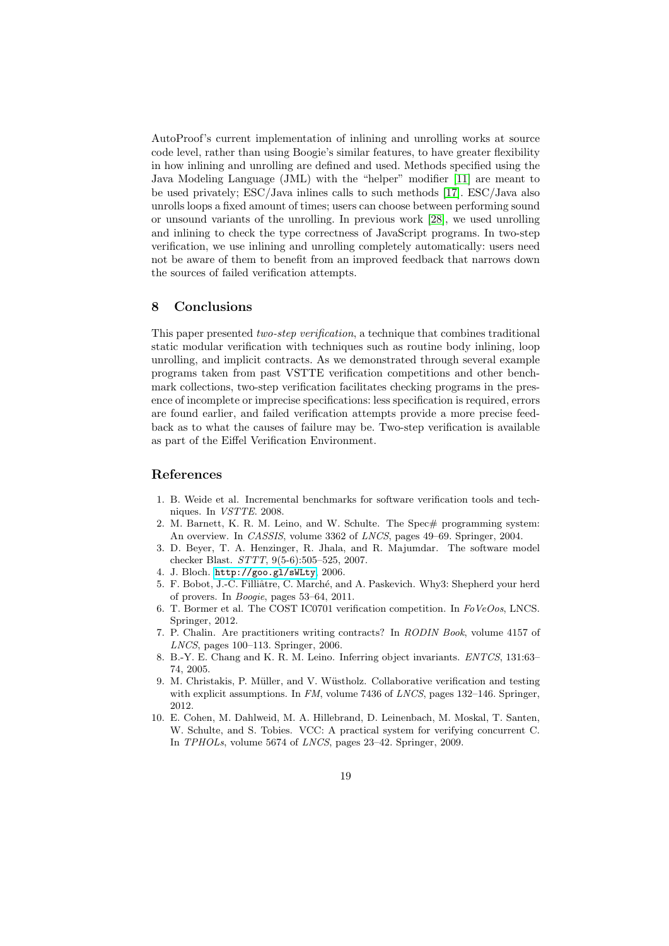AutoProof's current implementation of inlining and unrolling works at source code level, rather than using Boogie's similar features, to have greater flexibility in how inlining and unrolling are defined and used. Methods specified using the Java Modeling Language (JML) with the "helper" modifier [\[11\]](#page-19-9) are meant to be used privately; ESC/Java inlines calls to such methods [\[17\]](#page-19-8). ESC/Java also unrolls loops a fixed amount of times; users can choose between performing sound or unsound variants of the unrolling. In previous work [\[28\]](#page-19-25), we used unrolling and inlining to check the type correctness of JavaScript programs. In two-step verification, we use inlining and unrolling completely automatically: users need not be aware of them to benefit from an improved feedback that narrows down the sources of failed verification attempts.

## 8 Conclusions

This paper presented two-step verification, a technique that combines traditional static modular verification with techniques such as routine body inlining, loop unrolling, and implicit contracts. As we demonstrated through several example programs taken from past VSTTE verification competitions and other benchmark collections, two-step verification facilitates checking programs in the presence of incomplete or imprecise specifications: less specification is required, errors are found earlier, and failed verification attempts provide a more precise feedback as to what the causes of failure may be. Two-step verification is available as part of the Eiffel Verification Environment.

## References

- <span id="page-18-3"></span>1. B. Weide et al. Incremental benchmarks for software verification tools and techniques. In VSTTE. 2008.
- <span id="page-18-2"></span>2. M. Barnett, K. R. M. Leino, and W. Schulte. The Spec# programming system: An overview. In CASSIS, volume 3362 of LNCS, pages 49–69. Springer, 2004.
- <span id="page-18-8"></span>3. D. Beyer, T. A. Henzinger, R. Jhala, and R. Majumdar. The software model checker Blast. STTT, 9(5-6):505–525, 2007.
- <span id="page-18-4"></span>4. J. Bloch. <http://goo.gl/sWLty>, 2006.
- <span id="page-18-7"></span>5. F. Bobot, J.-C. Filliâtre, C. Marché, and A. Paskevich. Why3: Shepherd your herd of provers. In Boogie, pages 53–64, 2011.
- <span id="page-18-5"></span>6. T. Bormer et al. The COST IC0701 verification competition. In  $FoVeOos$ , LNCS. Springer, 2012.
- <span id="page-18-1"></span>7. P. Chalin. Are practitioners writing contracts? In RODIN Book, volume 4157 of LNCS, pages 100–113. Springer, 2006.
- <span id="page-18-0"></span>8. B.-Y. E. Chang and K. R. M. Leino. Inferring object invariants. ENTCS, 131:63– 74, 2005.
- <span id="page-18-9"></span>9. M. Christakis, P. Müller, and V. Wüstholz. Collaborative verification and testing with explicit assumptions. In FM, volume 7436 of LNCS, pages 132-146. Springer, 2012.
- <span id="page-18-6"></span>10. E. Cohen, M. Dahlweid, M. A. Hillebrand, D. Leinenbach, M. Moskal, T. Santen, W. Schulte, and S. Tobies. VCC: A practical system for verifying concurrent C. In TPHOLs, volume 5674 of LNCS, pages 23–42. Springer, 2009.